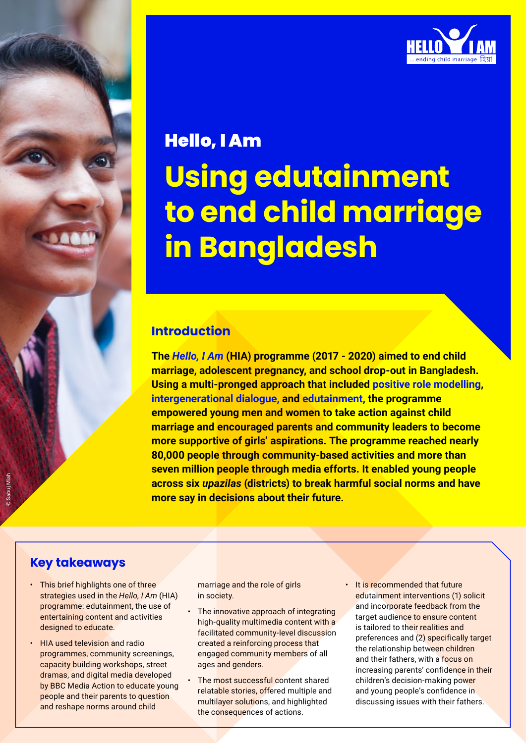

# Hello, I Am

**Using edutainment to end child marriage in Bangladesh**

## **Introduction**

**The** *[Hello, I Am](https://www.rutgers.international/programmes/hello-i-am)* **(HIA) programme (2017 - 2020) aimed to end child marriage, adolescent pregnancy, and school drop-out in Bangladesh. Using a multi-pronged approach that included [positive role modelling](https://cdn.vellance.com/rutgers/rutgers/positive-role-modelling-brief.pdf), [intergenerational dialogue](https://cdn.vellance.com/rutgers/rutgers/cross-generational-brief.pdf), and [edutainment,](https://cdn.vellance.com/rutgers/rutgers/edutainment-brief.pdf) the programme empowered young men and women to take action against child marriage and encouraged parents and community leaders to become more supportive of girls' aspirations. The programme reached nearly 80,000 people through community-based activities and more than seven million people through media efforts. It enabled young people across six** *upazilas* **(districts) to break harmful social norms and have more say in decisions about their future.**

## **Key takeaways**

- This brief highlights one of three strategies used in the *Hello, I Am* (HIA) programme: edutainment, the use of entertaining content and activities designed to educate.
- HIA used television and radio programmes, community screenings, capacity building workshops, street dramas, and digital media developed by BBC Media Action to educate young people and their parents to question and reshape norms around child

marriage and the role of girls in society.

- The innovative approach of integrating high-quality multimedia content with a facilitated community-level discussion created a reinforcing process that engaged community members of all ages and genders.
- The most successful content shared relatable stories, offered multiple and multilayer solutions, and highlighted the consequences of actions.

• It is recommended that future edutainment interventions (1) solicit and incorporate feedback from the target audience to ensure content is tailored to their realities and preferences and (2) specifically target the relationship between children and their fathers, with a focus on increasing parents' confidence in their children's decision-making power and young people's confidence in discussing issues with their fathers.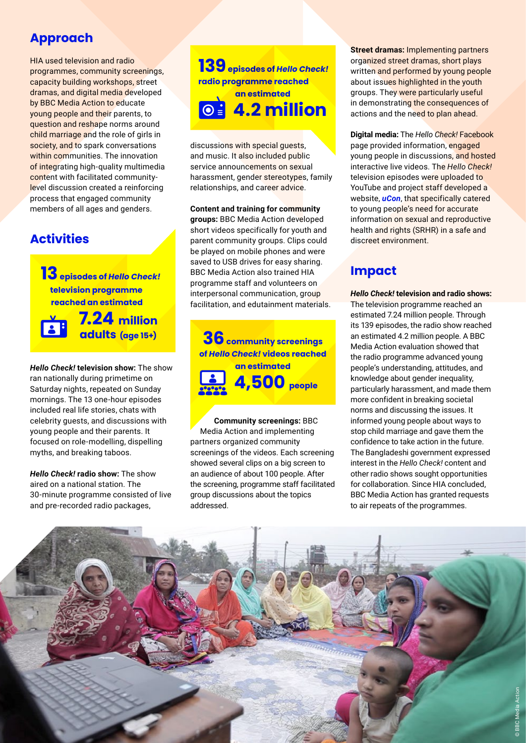## **Approach**

HIA used television and radio programmes, community screenings, capacity building workshops, street dramas, and digital media developed by BBC Media Action to educate young people and their parents, to question and reshape norms around child marriage and the role of girls in society, and to spark conversations within communities. The innovation of integrating high-quality multimedia content with facilitated communitylevel discussion created a reinforcing process that engaged community members of all ages and genders.

## **Activities**

**13 episodes of** *Hello Check!* **television programme reached an estimated**

 **7.24 million adults (age 15+)** 

*Hello Check!* **television show:** The show ran nationally during primetime on Saturday nights, repeated on Sunday mornings. The 13 one-hour episodes included real life stories, chats with celebrity guests, and discussions with young people and their parents. It focused on role-modelling, dispelling myths, and breaking taboos.

*Hello Check!* **radio show:** The show aired on a national station. The 30-minute programme consisted of live and pre-recorded radio packages,

**139 episodes of** *Hello Check!*  **radio programme reached an estimated 4.2 million** 

discussions with special guests, and music. It also included public service announcements on sexual harassment, gender stereotypes, family relationships, and career advice.

**Content and training for community groups:** BBC Media Action developed short videos specifically for youth and parent community groups. Clips could be played on mobile phones and were saved to USB drives for easy sharing. BBC Media Action also trained HIA programme staff and volunteers on interpersonal communication, group facilitation, and edutainment materials.

**36** community screenings **of** *Hello Check!* **videos reached an estimated 4,500 people**

 **Community screenings:** BBC Media Action and implementing partners organized community screenings of the videos. Each screening showed several clips on a big screen to an audience of about 100 people. After the screening, programme staff facilitated group discussions about the topics addressed.

**Street dramas:** Implementing partners organized street dramas, short plays written and performed by young people about issues highlighted in the youth groups. They were particularly useful in demonstrating the consequences of actions and the need to plan ahead.

**Digital media:** The *Hello Check!* Facebook page provided information, engaged young people in discussions, and hosted interactive live videos. The *Hello Check!* television episodes were uploaded to YouTube and project staff developed a website, *[uCon](https://ucon.pstc-bgd.org/home/)*, that specifically catered to young people's need for accurate information on sexual and reproductive health and rights (SRHR) in a safe and discreet environment.

# **Impact**

*Hello Check!* **television and radio shows:**  The television programme reached an estimated 7.24 million people. Through its 139 episodes, the radio show reached an estimated 4.2 million people. A BBC Media Action evaluation showed that the radio programme advanced young people's understanding, attitudes, and knowledge about gender inequality, particularly harassment, and made them more confident in breaking societal norms and discussing the issues. It informed young people about ways to stop child marriage and gave them the confidence to take action in the future. The Bangladeshi government expressed interest in the *Hello Check!* content and other radio shows sought opportunities for collaboration. Since HIA concluded, BBC Media Action has granted requests to air repeats of the programmes.

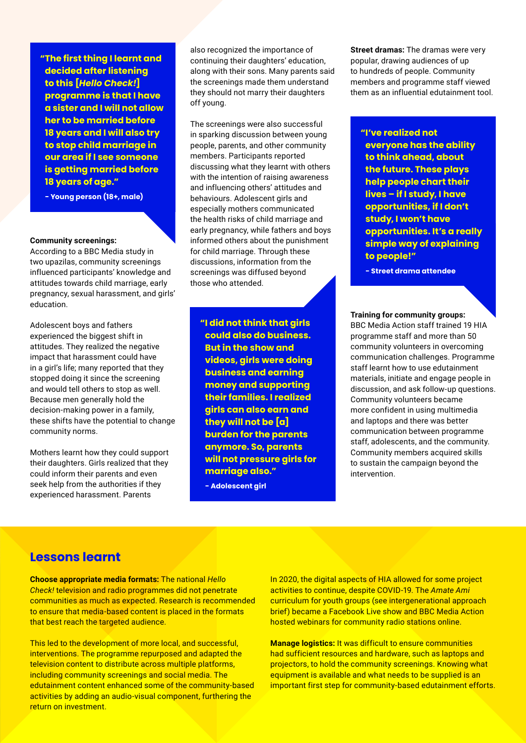**"The first thing I learnt and decided after listening to this [***Hello Check!***] programme is that I have a sister and I will not allow her to be married before 18 years and I will also try to stop child marriage in our area if I see someone is getting married before 18 years of age."**

**- Young person (18+, male)**

#### **Community screenings:**

According to a BBC Media study in two upazilas, community screenings influenced participants' knowledge and attitudes towards child marriage, early pregnancy, sexual harassment, and girls' education.

Adolescent boys and fathers experienced the biggest shift in attitudes. They realized the negative impact that harassment could have in a girl's life; many reported that they stopped doing it since the screening and would tell others to stop as well. Because men generally hold the decision-making power in a family, these shifts have the potential to change community norms.

Mothers learnt how they could support their daughters. Girls realized that they could inform their parents and even seek help from the authorities if they experienced harassment. Parents

also recognized the importance of continuing their daughters' education, along with their sons. Many parents said the screenings made them understand they should not marry their daughters off young.

The screenings were also successful in sparking discussion between young people, parents, and other community members. Participants reported discussing what they learnt with others with the intention of raising awareness and influencing others' attitudes and behaviours. Adolescent girls and especially mothers communicated the health risks of child marriage and early pregnancy, while fathers and boys informed others about the punishment for child marriage. Through these discussions, information from the screenings was diffused beyond those who attended.

**"I did not think that girls could also do business. But in the show and videos, girls were doing business and earning money and supporting their families. I realized girls can also earn and they will not be [a] burden for the parents anymore. So, parents will not pressure girls for marriage also."**

**- Adolescent girl**

**Street dramas:** The dramas were very popular, drawing audiences of up to hundreds of people. Community members and programme staff viewed them as an influential edutainment tool.

**"I've realized not everyone has the ability to think ahead, about the future. These plays help people chart their lives – if I study, I have opportunities, if I don't study, I won't have opportunities. It's a really simple way of explaining to people!"**

**- Street drama attendee**

#### **Training for community groups:**

BBC Media Action staff trained 19 HIA programme staff and more than 50 community volunteers in overcoming communication challenges. Programme staff learnt how to use edutainment materials, initiate and engage people in discussion, and ask follow-up questions. Community volunteers became more confident in using multimedia and laptops and there was better communication between programme staff, adolescents, and the community. Community members acquired skills to sustain the campaign beyond the intervention.

### **Lessons learnt**

**Choose appropriate media formats:** The national *Hello Check!* television and radio programmes did not penetrate communities as much as expected. Research is recommended to ensure that media-based content is placed in the formats that best reach the targeted audience.

This led to the development of more local, and successful, interventions. The programme repurposed and adapted the television content to distribute across multiple platforms, including community screenings and social media. The edutainment content enhanced some of the community-based activities by adding an audio-visual component, furthering the return on investment.

In 2020, the digital aspects of HIA allowed for some project activities to continue, despite COVID-19. The *Amate Ami* curriculum for youth groups (see intergenerational approach brief) became a Facebook Live show and BBC Media Action hosted webinars for community radio stations online.

**Manage logistics:** It was difficult to ensure communities had sufficient resources and hardware, such as laptops and projectors, to hold the community screenings. Knowing what equipment is available and what needs to be supplied is an important first step for community-based edutainment efforts.